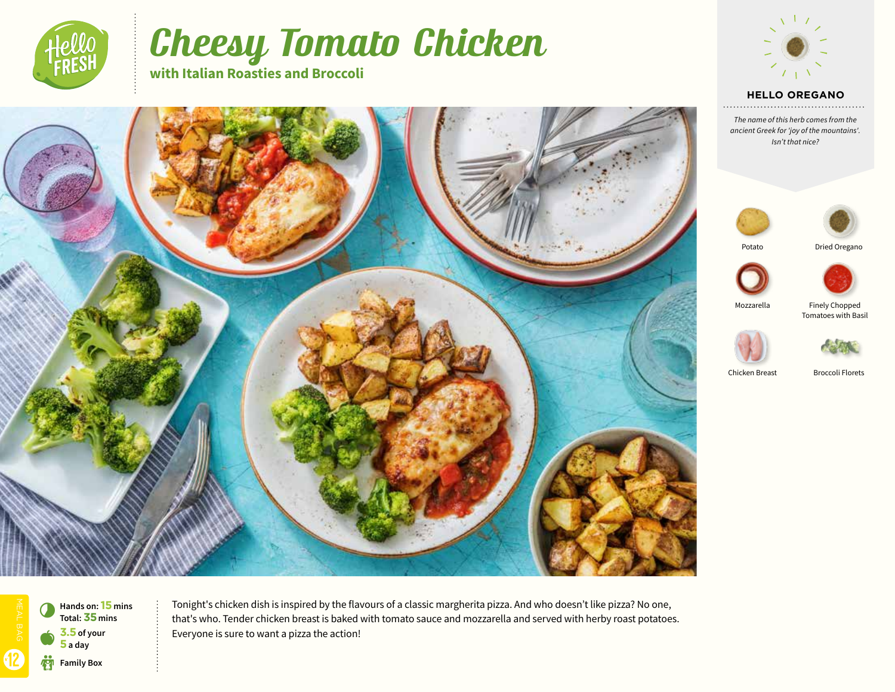

# Cheesy Tomato Chicken

**with Italian Roasties and Broccoli**



## **HELLO OREGANO**

*The name of this herb comes from the ancient Greek for 'joy of the mountains'. Isn't that nice?*





Potato





Mozzarella

Finely Chopped Tomatoes with Basil



Chicken Breast Broccoli Florets



12 b **Family Box** 0 a **3.5 of your 5 a day Hands on: 15 mins Total: 35mins**

Tonight's chicken dish is inspired by the flavours of a classic margherita pizza. And who doesn't like pizza? No one, that's who. Tender chicken breast is baked with tomato sauce and mozzarella and served with herby roast potatoes. Everyone is sure to want a pizza the action!